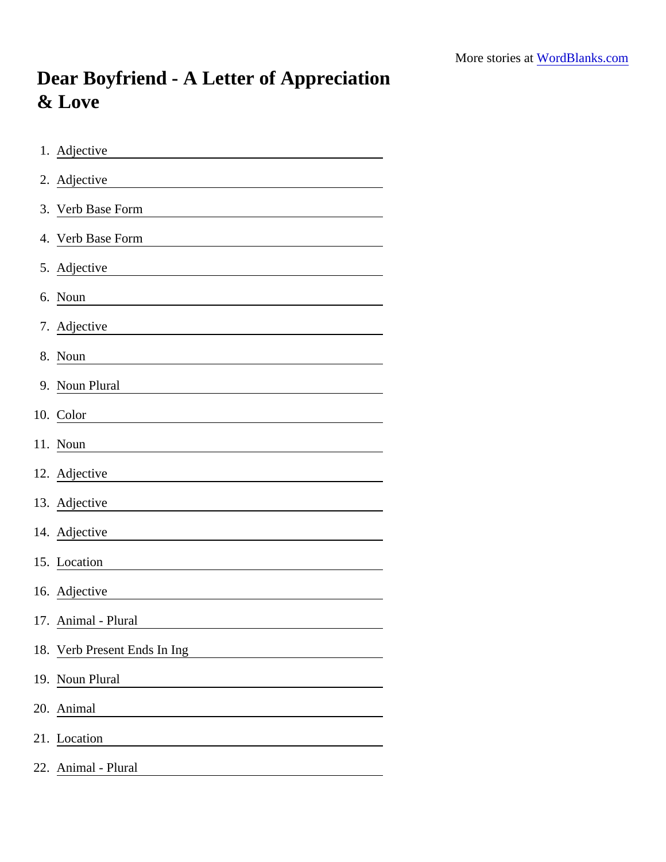## Dear Boyfriend - A Letter of Appreciation & Love

| 1. Adjective                                                        |
|---------------------------------------------------------------------|
| 2. Adjective<br><u> 1980 - Andrea Station Barbara, amerikan per</u> |
| 3. Verb Base Form                                                   |
| 4. Verb Base Form                                                   |
| 5. Adjective                                                        |
| 6. Noun                                                             |
| 7. Adjective                                                        |
| 8. Noun                                                             |
| 9. Noun Plural                                                      |
| 10. Color                                                           |
| 11. Noun                                                            |
| 12. Adjective                                                       |
| 13. Adjective                                                       |
| 14. Adjective                                                       |
| 15. Location                                                        |
| 16. Adjective                                                       |
| 17. Animal - Plural                                                 |
| 18. Verb Present Ends In Ing                                        |
| 19. Noun Plural                                                     |
| 20. Animal                                                          |
| 21. Location                                                        |
| 22. Animal - Plural                                                 |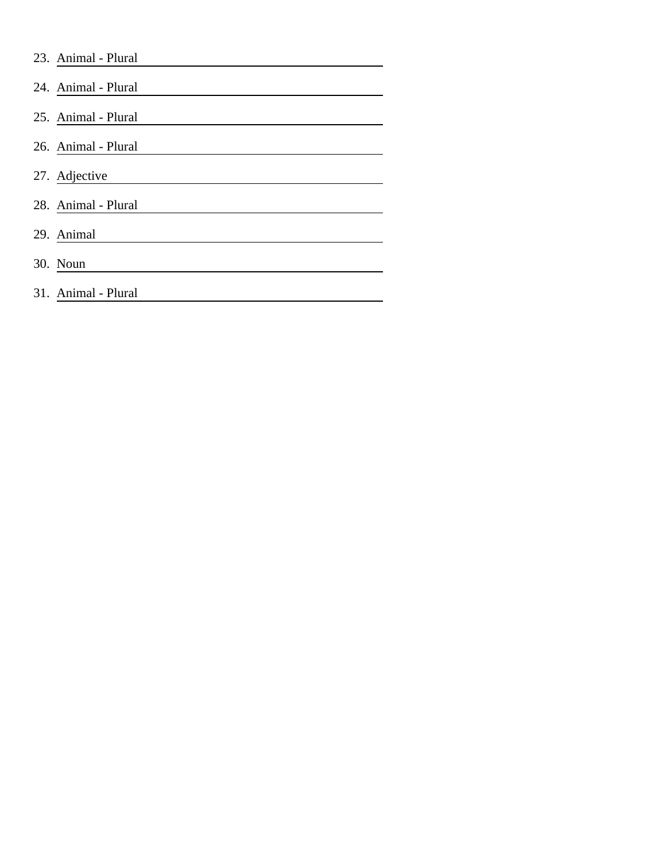| 23. Animal - Plural |
|---------------------|
| 24. Animal - Plural |
| 25. Animal - Plural |
| 26. Animal - Plural |
| 27. Adjective       |
| 28. Animal - Plural |
| 29. Animal          |
| 30. Noun            |
| 31. Animal - Plural |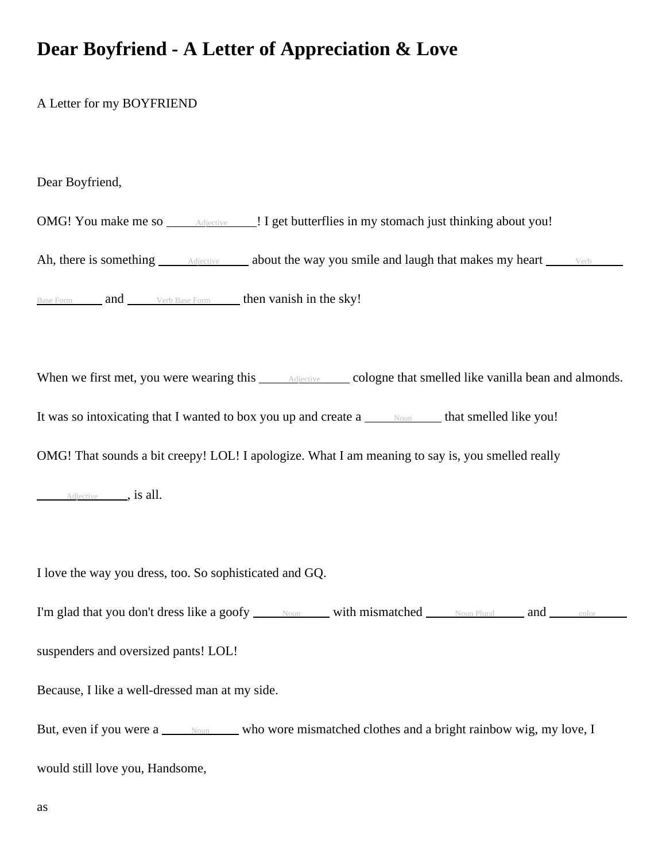## **Dear Boyfriend - A Letter of Appreciation & Love**

A Letter for my BOYFRIEND

Dear Boyfriend,

OMG! You make me so Adjective ! I get butterflies in my stomach just thinking about you! Ah, there is something  $\frac{\text{Adjective}}{\text{Additive}}$  about the way you smile and laugh that makes my heart  $\frac{\text{Verb}}{\text{Verb}}$ 

Base Form and Verb Base Form then vanish in the sky!

When we first met, you were wearing this **Adjective Cologne that smelled like vanilla bean and almonds.** 

It was so intoxicating that I wanted to box you up and create  $a_{\text{mean}}$  that smelled like you!

OMG! That sounds a bit creepy! LOL! I apologize. What I am meaning to say is, you smelled really

Adjective , is all.

I love the way you dress, too. So sophisticated and GQ.

I'm glad that you don't dress like a goofy Noun With mismatched Noun Plural and Color

suspenders and oversized pants! LOL!

Because, I like a well-dressed man at my side.

But, even if you were a Noun who wore mismatched clothes and a bright rainbow wig, my love, I would still love you, Handsome,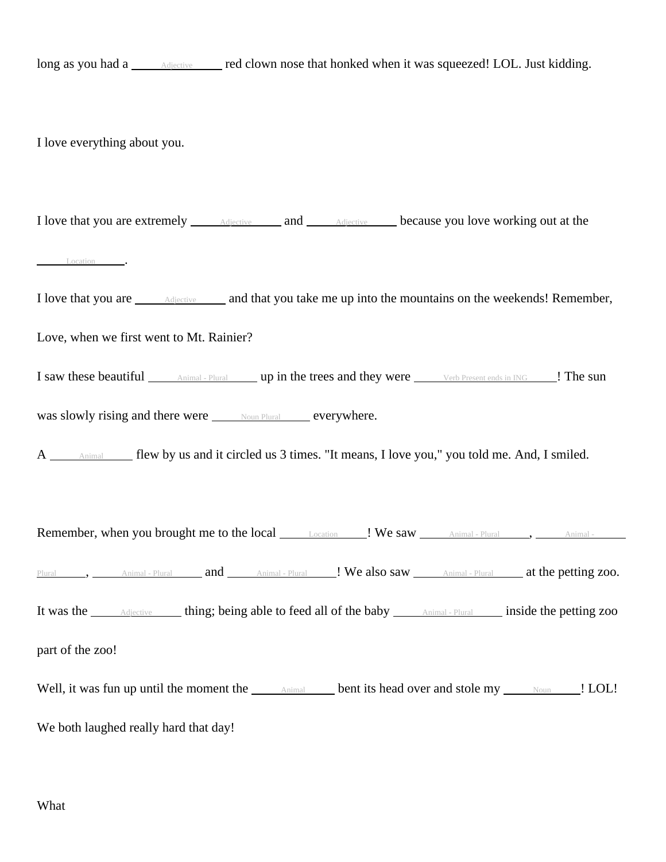long as you had a **Adjective** red clown nose that honked when it was squeezed! LOL. Just kidding.

I love everything about you.

I love that you are extremely  $\_\_\_\$ Adjective and Adjective because you love working out at the Location . I love that you are <u>Adjective</u> and that you take me up into the mountains on the weekends! Remember, Love, when we first went to Mt. Rainier? I saw these beautiful Animal - Plural up in the trees and they were Verb Present ends in ING ! The sun Was slowly rising and there were Noun Plural everywhere.  $A_{\text{minimal}}$  flew by us and it circled us 3 times. "It means, I love you," you told me. And, I smiled. Remember, when you brought me to the local *Location* 1. We saw *Animal - Plural* , Animal - Animal -Plural , Animal - Plural and Animal - Plural ! We also saw Animal - Plural at the petting zoo. It was the Adjective thing; being able to feed all of the baby Animal - Plural inside the petting zoo part of the zoo! Well, it was fun up until the moment the  $\Box$  Animal bent its head over and stole my  $\Box$  Noun  $\Box$ ! LOL! We both laughed really hard that day!